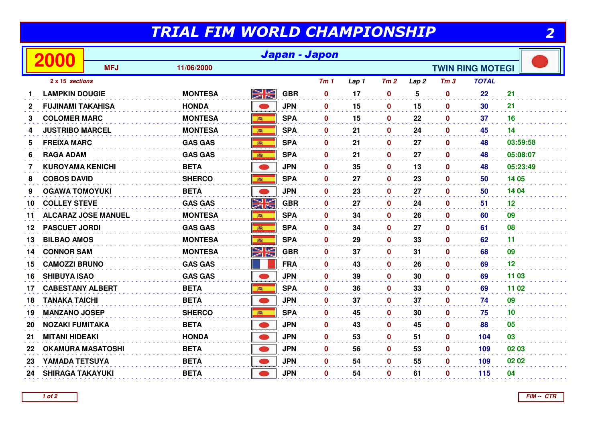## TRIAL FIM WORLD CHAMPIONSHIP

|                 |                          | Japan - Japon              |                |                         |            |                 |       |                  |                  |                 |              |          |
|-----------------|--------------------------|----------------------------|----------------|-------------------------|------------|-----------------|-------|------------------|------------------|-----------------|--------------|----------|
|                 |                          | <b>MFJ</b>                 | 11/06/2000     | <b>TWIN RING MOTEGI</b> |            |                 |       |                  |                  |                 |              |          |
| 2 x 15 sections |                          |                            |                |                         |            | Tm <sub>1</sub> | Lap 1 | Tm2              | Lap <sub>2</sub> | Tm <sub>3</sub> | <b>TOTAL</b> |          |
| 1               | <b>LAMPKIN DOUGIE</b>    |                            | <b>MONTESA</b> | XK                      | <b>GBR</b> | $\mathbf 0$     | 17    | $\boldsymbol{0}$ | 5                | $\mathbf 0$     | 22           | 21       |
| $\mathbf{2}$    | <b>FUJINAMI TAKAHISA</b> |                            | <b>HONDA</b>   |                         | <b>JPN</b> | $\mathbf{0}$    | 15    | $\mathbf 0$      | 15               | $\mathbf{0}$    | 30           | 21       |
| 3               | <b>COLOMER MARC</b>      |                            | <b>MONTESA</b> | 100                     | <b>SPA</b> | $\mathbf{0}$    | 15    | $\mathbf 0$      | 22               | $\mathbf{0}$    | 37           | 16       |
| 4               | <b>JUSTRIBO MARCEL</b>   |                            | <b>MONTESA</b> |                         | <b>SPA</b> | $\mathbf 0$     | 21    | $\mathbf 0$      | 24               | $\mathbf 0$     | 45           | 14       |
| 5               | <b>FREIXA MARC</b>       |                            | <b>GAS GAS</b> | 高                       | <b>SPA</b> | 0               | 21    | $\mathbf 0$      | 27               | $\mathbf 0$     | 48           | 03:59:58 |
| 6               | <b>RAGA ADAM</b>         |                            | <b>GAS GAS</b> |                         | <b>SPA</b> | $\mathbf{0}$    | 21    | $\boldsymbol{0}$ | 27               | $\mathbf 0$     | 48           | 05:08:07 |
| 7               | <b>KUROYAMA KENICHI</b>  |                            | <b>BETA</b>    |                         | <b>JPN</b> | 0               | 35    | $\boldsymbol{0}$ | 13               | $\mathbf 0$     | 48           | 05:23:49 |
| 8               | <b>COBOS DAVID</b>       |                            | <b>SHERCO</b>  |                         | <b>SPA</b> | $\mathbf{0}$    | 27    | $\mathbf 0$      | 23               | $\mathbf 0$     | 50           | 14 05    |
| 9               | <b>OGAWA TOMOYUKI</b>    |                            | <b>BETA</b>    |                         | <b>JPN</b> | $\mathbf{0}$    | 23    | $\mathbf 0$      | 27               | $\mathbf 0$     | 50           | 14 04    |
| 10              | <b>COLLEY STEVE</b>      |                            | <b>GAS GAS</b> | NK<br>ZK                | <b>GBR</b> | $\mathbf 0$     | 27    | $\boldsymbol{0}$ | 24               | $\mathbf{0}$    | 51           | 12       |
| 11              |                          | <b>ALCARAZ JOSE MANUEL</b> | <b>MONTESA</b> | 高                       | <b>SPA</b> | $\mathbf{0}$    | 34    | $\boldsymbol{0}$ | 26               | $\mathbf{0}$    | 60           | 09       |
| 12              | <b>PASCUET JORDI</b>     |                            | <b>GAS GAS</b> | 100                     | <b>SPA</b> | $\bf{0}$        | 34    | $\mathbf 0$      | 27               | $\mathbf 0$     | 61           | 08       |
| 13              | <b>BILBAO AMOS</b>       |                            | <b>MONTESA</b> | <b>BEE</b>              | <b>SPA</b> | $\mathbf 0$     | 29    | $\boldsymbol{0}$ | 33               | $\mathbf{0}$    | 62           | 11       |
| 14              | <b>CONNOR SAM</b>        |                            | <b>MONTESA</b> | <u>NK</u>               | <b>GBR</b> | $\mathbf{0}$    | 37    | $\boldsymbol{0}$ | 31               | $\mathbf 0$     | 68           | 09       |
| 15              | <b>CAMOZZI BRUNO</b>     |                            | <b>GAS GAS</b> |                         | <b>FRA</b> | $\mathbf{0}$    | 43    | $\boldsymbol{0}$ | 26               | $\mathbf 0$     | 69           | 12       |
| 16              | <b>SHIBUYA ISAO</b>      |                            | <b>GAS GAS</b> |                         | <b>JPN</b> | $\mathbf 0$     | 39    | 0                | 30               | $\mathbf{0}$    | 69           | 11 03    |
| 17              | <b>CABESTANY ALBERT</b>  |                            | <b>BETA</b>    |                         | <b>SPA</b> | $\mathbf 0$     | 36    | $\mathbf 0$      | 33               | $\mathbf 0$     | 69           | 11 02    |
| 18              | <b>TANAKA TAICHI</b>     |                            | <b>BETA</b>    |                         | <b>JPN</b> | $\mathbf 0$     | 37    | $\boldsymbol{0}$ | 37               | $\mathbf 0$     | 74           | 09       |
| 19              | <b>MANZANO JOSEP</b>     |                            | <b>SHERCO</b>  | 高                       | <b>SPA</b> | $\mathbf 0$     | 45    | $\mathbf 0$      | 30               | $\mathbf 0$     | 75           | 10       |
| 20              | <b>NOZAKI FUMITAKA</b>   |                            | <b>BETA</b>    |                         | <b>JPN</b> | $\mathbf{0}$    | 43    | $\mathbf 0$      | 45               | $\mathbf{0}$    | 88           | 05       |
| 21              | <b>MITANI HIDEAKI</b>    |                            | <b>HONDA</b>   |                         | <b>JPN</b> | 0               | 53    | $\mathbf 0$      | 51               | $\mathbf 0$     | 104          | 03       |
| 22              |                          | <b>OKAMURA MASATOSHI</b>   | <b>BETA</b>    |                         | <b>JPN</b> | $\mathbf{0}$    | 56    | $\mathbf 0$      | 53               | $\mathbf 0$     | 109          | 02 03    |
| 23              | YAMADA TETSUYA           |                            | <b>BETA</b>    |                         | <b>JPN</b> | $\mathbf{0}$    | 54    | $\mathbf 0$      | 55               | $\mathbf{0}$    | 109          | 02 02    |
| 24              | <b>SHIRAGA TAKAYUKI</b>  |                            | <b>BETA</b>    |                         | <b>JPN</b> | $\mathbf{0}$    | 54    | 0                | 61               | $\mathbf 0$     | 115          | 04       |
|                 |                          |                            |                |                         |            |                 |       |                  |                  |                 |              |          |

2